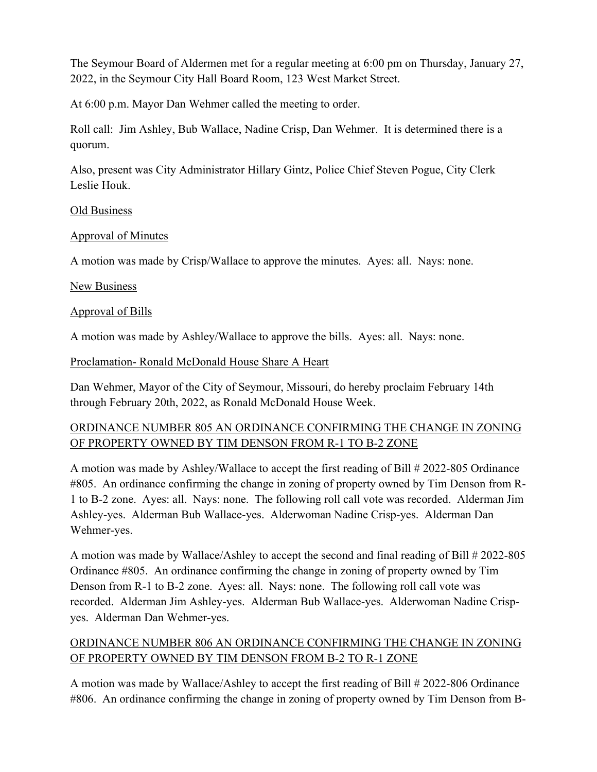The Seymour Board of Aldermen met for a regular meeting at 6:00 pm on Thursday, January 27, 2022, in the Seymour City Hall Board Room, 123 West Market Street.

At 6:00 p.m. Mayor Dan Wehmer called the meeting to order.

Roll call: Jim Ashley, Bub Wallace, Nadine Crisp, Dan Wehmer. It is determined there is a quorum.

Also, present was City Administrator Hillary Gintz, Police Chief Steven Pogue, City Clerk Leslie Houk.

### Old Business

## Approval of Minutes

A motion was made by Crisp/Wallace to approve the minutes. Ayes: all. Nays: none.

### New Business

## Approval of Bills

A motion was made by Ashley/Wallace to approve the bills. Ayes: all. Nays: none.

## Proclamation- Ronald McDonald House Share A Heart

Dan Wehmer, Mayor of the City of Seymour, Missouri, do hereby proclaim February 14th through February 20th, 2022, as Ronald McDonald House Week.

## ORDINANCE NUMBER 805 AN ORDINANCE CONFIRMING THE CHANGE IN ZONING OF PROPERTY OWNED BY TIM DENSON FROM R-1 TO B-2 ZONE

A motion was made by Ashley/Wallace to accept the first reading of Bill # 2022-805 Ordinance #805. An ordinance confirming the change in zoning of property owned by Tim Denson from R-1 to B-2 zone. Ayes: all. Nays: none. The following roll call vote was recorded. Alderman Jim Ashley-yes. Alderman Bub Wallace-yes. Alderwoman Nadine Crisp-yes. Alderman Dan Wehmer-yes.

A motion was made by Wallace/Ashley to accept the second and final reading of Bill # 2022-805 Ordinance #805. An ordinance confirming the change in zoning of property owned by Tim Denson from R-1 to B-2 zone. Ayes: all. Nays: none. The following roll call vote was recorded. Alderman Jim Ashley-yes. Alderman Bub Wallace-yes. Alderwoman Nadine Crispyes. Alderman Dan Wehmer-yes.

# ORDINANCE NUMBER 806 AN ORDINANCE CONFIRMING THE CHANGE IN ZONING OF PROPERTY OWNED BY TIM DENSON FROM B-2 TO R-1 ZONE

A motion was made by Wallace/Ashley to accept the first reading of Bill # 2022-806 Ordinance #806. An ordinance confirming the change in zoning of property owned by Tim Denson from B-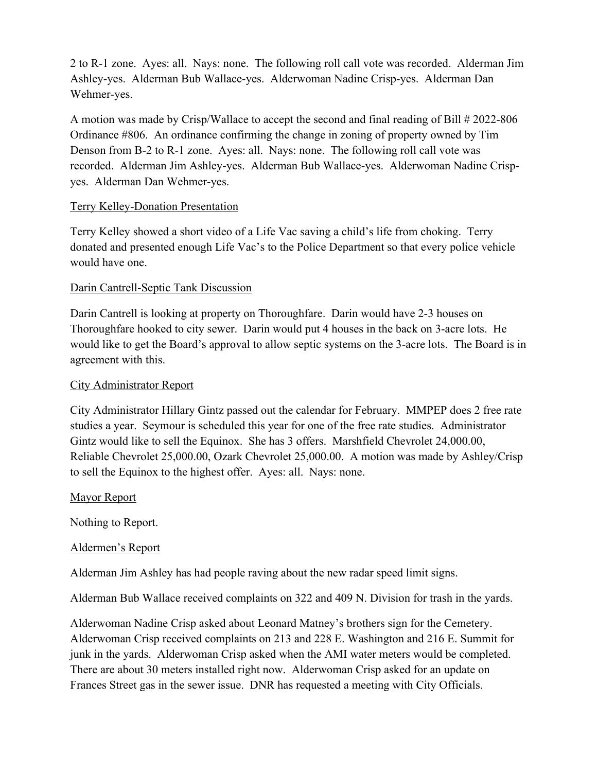2 to R-1 zone. Ayes: all. Nays: none. The following roll call vote was recorded. Alderman Jim Ashley-yes. Alderman Bub Wallace-yes. Alderwoman Nadine Crisp-yes. Alderman Dan Wehmer-yes.

A motion was made by Crisp/Wallace to accept the second and final reading of Bill # 2022-806 Ordinance #806. An ordinance confirming the change in zoning of property owned by Tim Denson from B-2 to R-1 zone. Ayes: all. Nays: none. The following roll call vote was recorded. Alderman Jim Ashley-yes. Alderman Bub Wallace-yes. Alderwoman Nadine Crispyes. Alderman Dan Wehmer-yes.

### Terry Kelley-Donation Presentation

Terry Kelley showed a short video of a Life Vac saving a child's life from choking. Terry donated and presented enough Life Vac's to the Police Department so that every police vehicle would have one.

## Darin Cantrell-Septic Tank Discussion

Darin Cantrell is looking at property on Thoroughfare. Darin would have 2-3 houses on Thoroughfare hooked to city sewer. Darin would put 4 houses in the back on 3-acre lots. He would like to get the Board's approval to allow septic systems on the 3-acre lots. The Board is in agreement with this.

## City Administrator Report

City Administrator Hillary Gintz passed out the calendar for February. MMPEP does 2 free rate studies a year. Seymour is scheduled this year for one of the free rate studies. Administrator Gintz would like to sell the Equinox. She has 3 offers. Marshfield Chevrolet 24,000.00, Reliable Chevrolet 25,000.00, Ozark Chevrolet 25,000.00. A motion was made by Ashley/Crisp to sell the Equinox to the highest offer. Ayes: all. Nays: none.

### Mayor Report

Nothing to Report.

### Aldermen's Report

Alderman Jim Ashley has had people raving about the new radar speed limit signs.

Alderman Bub Wallace received complaints on 322 and 409 N. Division for trash in the yards.

Alderwoman Nadine Crisp asked about Leonard Matney's brothers sign for the Cemetery. Alderwoman Crisp received complaints on 213 and 228 E. Washington and 216 E. Summit for junk in the yards. Alderwoman Crisp asked when the AMI water meters would be completed. There are about 30 meters installed right now. Alderwoman Crisp asked for an update on Frances Street gas in the sewer issue. DNR has requested a meeting with City Officials.